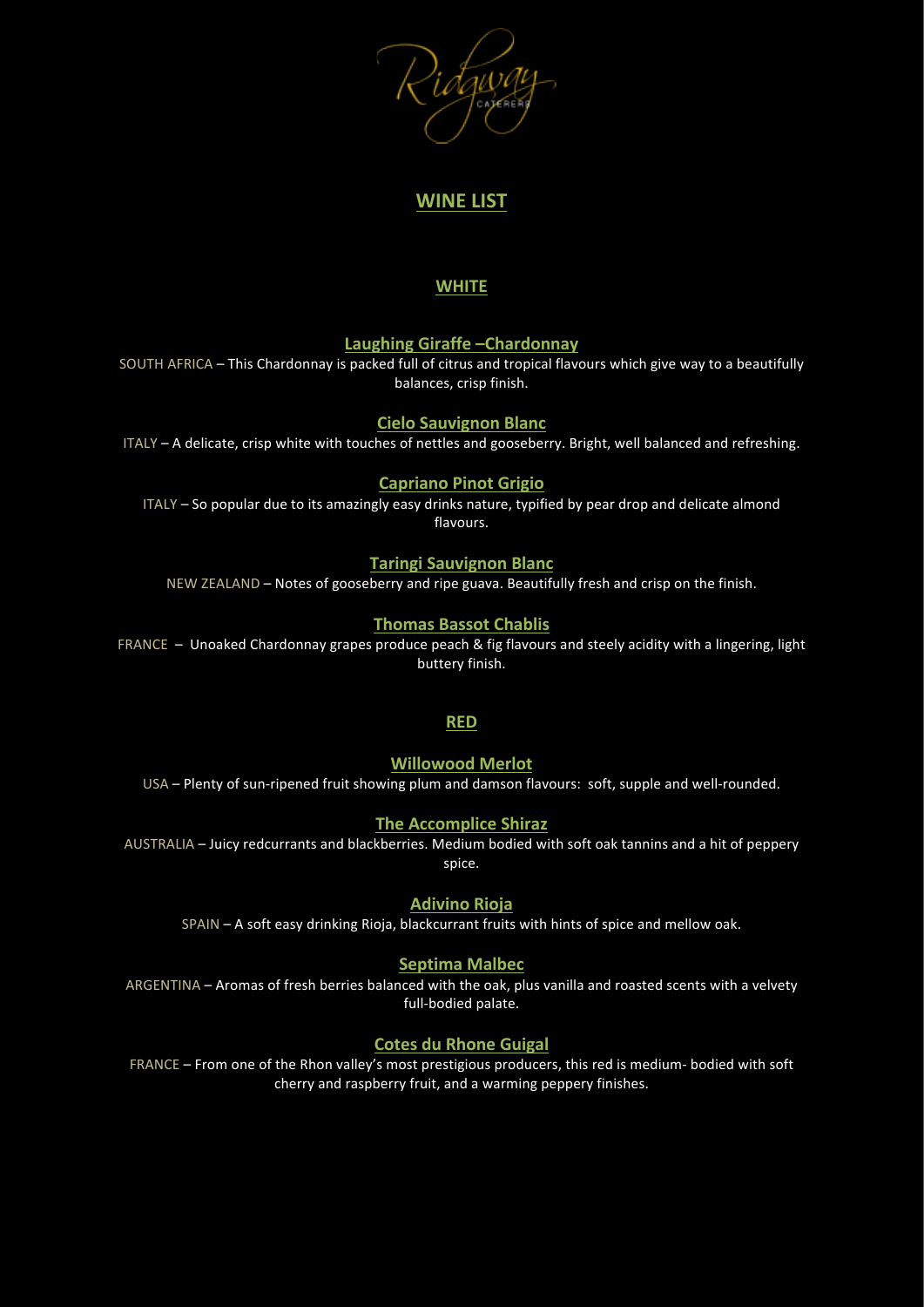# **WINE LIST**

# **WHITE**

## Laughing Giraffe - Chardonnay

SOUTH AFRICA – This Chardonnay is packed full of citrus and tropical flavours which give way to a beautifully balances, crisp finish.

## **Cielo Sauvignon Blanc**

ITALY – A delicate, crisp white with touches of nettles and gooseberry. Bright, well balanced and refreshing.

## **Capriano Pinot Grigio**

ITALY - So popular due to its amazingly easy drinks nature, typified by pear drop and delicate almond flavours.

## **Taringi Sauvignon Blanc**

NEW ZEALAND – Notes of gooseberry and ripe guava. Beautifully fresh and crisp on the finish.

## **Thomas Bassot Chablis**

FRANCE – Unoaked Chardonnay grapes produce peach & fig flavours and steely acidity with a lingering, light buttery finish.

### **RED**

**Willowood Merlot**

USA – Plenty of sun-ripened fruit showing plum and damson flavours: soft, supple and well-rounded.

# **The Accomplice Shiraz**

AUSTRALIA – Juicy redcurrants and blackberries. Medium bodied with soft oak tannins and a hit of peppery spice.

### **Adivino Rioja**

SPAIN – A soft easy drinking Rioja, blackcurrant fruits with hints of spice and mellow oak.

### **Septima Malbec**

ARGENTINA – Aromas of fresh berries balanced with the oak, plus vanilla and roasted scents with a velvety full-bodied palate.

## **Cotes du Rhone Guigal**

FRANCE – From one of the Rhon valley's most prestigious producers, this red is medium- bodied with soft cherry and raspberry fruit, and a warming peppery finishes.